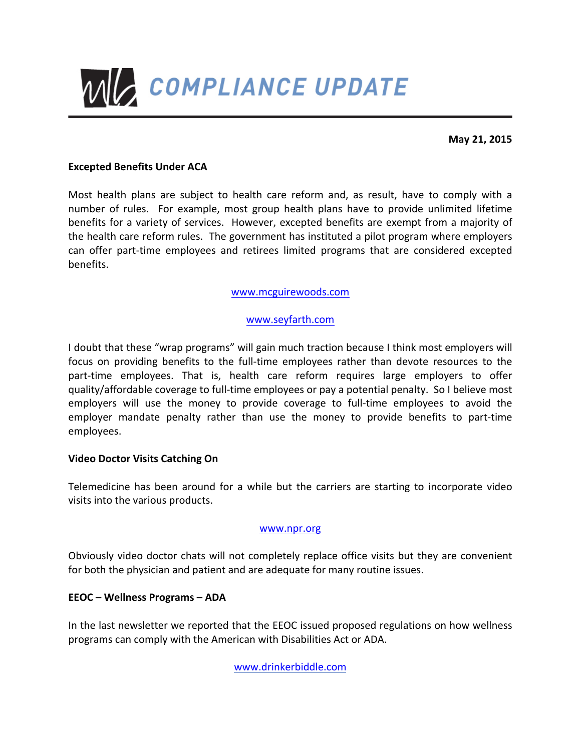

**May 21, 2015**

### **Excepted Benefits Under ACA**

Most health plans are subject to health care reform and, as result, have to comply with a number of rules. For example, most group health plans have to provide unlimited lifetime benefits for a variety of services. However, excepted benefits are exempt from a majority of the health care reform rules. The government has instituted a pilot program where employers can offer part-time employees and retirees limited programs that are considered excepted benefits.

### www.mcguirewoods.com

### www.seyfarth.com

I doubt that these "wrap programs" will gain much traction because I think most employers will focus on providing benefits to the full-time employees rather than devote resources to the part-time employees. That is, health care reform requires large employers to offer quality/affordable coverage to full-time employees or pay a potential penalty. So I believe most employers will use the money to provide coverage to full-time employees to avoid the employer mandate penalty rather than use the money to provide benefits to part-time employees.

#### **Video Doctor Visits Catching On**

Telemedicine has been around for a while but the carriers are starting to incorporate video visits into the various products.

#### www.npr.org

Obviously video doctor chats will not completely replace office visits but they are convenient for both the physician and patient and are adequate for many routine issues.

#### **EEOC – Wellness Programs – ADA**

In the last newsletter we reported that the EEOC issued proposed regulations on how wellness programs can comply with the American with Disabilities Act or ADA.

www.drinkerbiddle.com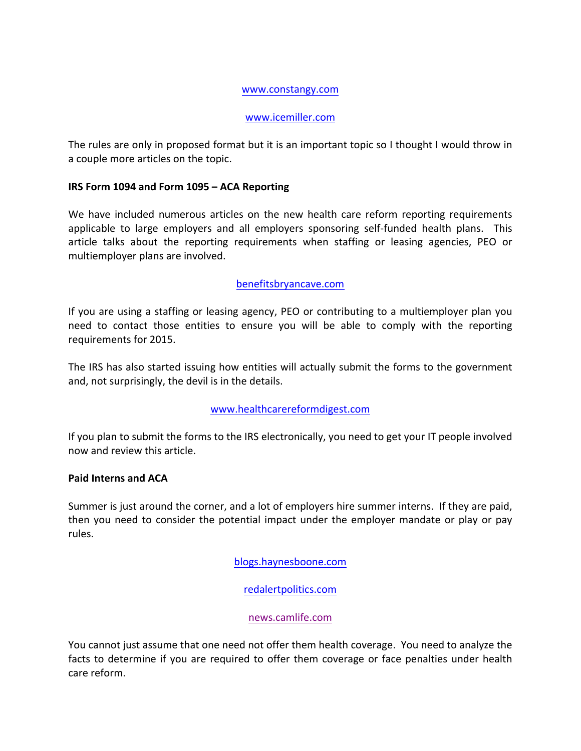#### www.constangy.com

### www.icemiller.com

The rules are only in proposed format but it is an important topic so I thought I would throw in a couple more articles on the topic.

# **IRS Form 1094 and Form 1095 - ACA Reporting**

We have included numerous articles on the new health care reform reporting requirements applicable to large employers and all employers sponsoring self-funded health plans. This article talks about the reporting requirements when staffing or leasing agencies, PEO or multiemployer plans are involved.

# benefitsbryancave.com

If you are using a staffing or leasing agency, PEO or contributing to a multiemployer plan you need to contact those entities to ensure you will be able to comply with the reporting requirements for 2015.

The IRS has also started issuing how entities will actually submit the forms to the government and, not surprisingly, the devil is in the details.

# www.healthcarereformdigest.com

If you plan to submit the forms to the IRS electronically, you need to get your IT people involved now and review this article.

#### **Paid Interns and ACA**

Summer is just around the corner, and a lot of employers hire summer interns. If they are paid, then you need to consider the potential impact under the employer mandate or play or pay rules.

blogs.haynesboone.com

# redalertpolitics.com

# news.camlife.com

You cannot just assume that one need not offer them health coverage. You need to analyze the facts to determine if you are required to offer them coverage or face penalties under health care reform.